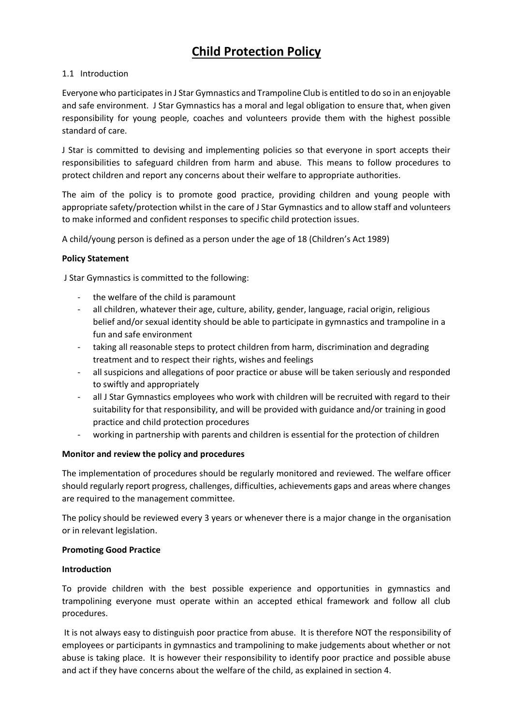# **Child Protection Policy**

## 1.1 Introduction

Everyone who participates in J Star Gymnastics and Trampoline Club is entitled to do so in an enjoyable and safe environment. J Star Gymnastics has a moral and legal obligation to ensure that, when given responsibility for young people, coaches and volunteers provide them with the highest possible standard of care.

J Star is committed to devising and implementing policies so that everyone in sport accepts their responsibilities to safeguard children from harm and abuse. This means to follow procedures to protect children and report any concerns about their welfare to appropriate authorities.

The aim of the policy is to promote good practice, providing children and young people with appropriate safety/protection whilst in the care of J Star Gymnastics and to allow staff and volunteers to make informed and confident responses to specific child protection issues.

A child/young person is defined as a person under the age of 18 (Children's Act 1989)

## **Policy Statement**

J Star Gymnastics is committed to the following:

- the welfare of the child is paramount
- all children, whatever their age, culture, ability, gender, language, racial origin, religious belief and/or sexual identity should be able to participate in gymnastics and trampoline in a fun and safe environment
- taking all reasonable steps to protect children from harm, discrimination and degrading treatment and to respect their rights, wishes and feelings
- all suspicions and allegations of poor practice or abuse will be taken seriously and responded to swiftly and appropriately
- all J Star Gymnastics employees who work with children will be recruited with regard to their suitability for that responsibility, and will be provided with guidance and/or training in good practice and child protection procedures
- working in partnership with parents and children is essential for the protection of children

#### **Monitor and review the policy and procedures**

The implementation of procedures should be regularly monitored and reviewed. The welfare officer should regularly report progress, challenges, difficulties, achievements gaps and areas where changes are required to the management committee.

The policy should be reviewed every 3 years or whenever there is a major change in the organisation or in relevant legislation.

#### **Promoting Good Practice**

#### **Introduction**

To provide children with the best possible experience and opportunities in gymnastics and trampolining everyone must operate within an accepted ethical framework and follow all club procedures.

It is not always easy to distinguish poor practice from abuse. It is therefore NOT the responsibility of employees or participants in gymnastics and trampolining to make judgements about whether or not abuse is taking place. It is however their responsibility to identify poor practice and possible abuse and act if they have concerns about the welfare of the child, as explained in section 4.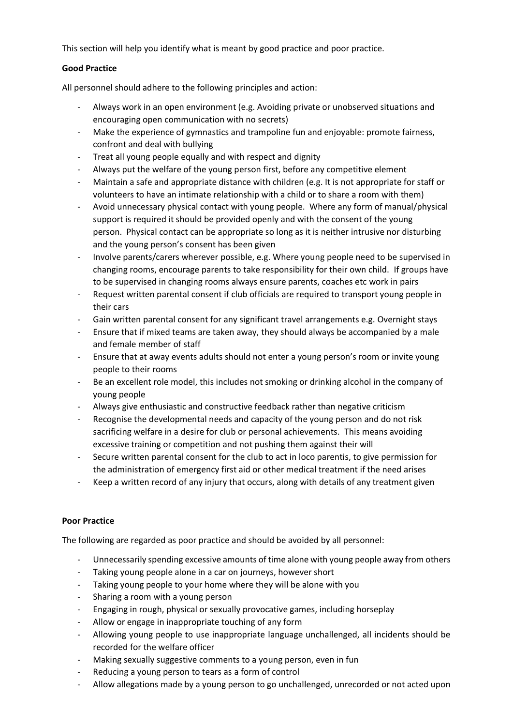This section will help you identify what is meant by good practice and poor practice.

## **Good Practice**

All personnel should adhere to the following principles and action:

- Always work in an open environment (e.g. Avoiding private or unobserved situations and encouraging open communication with no secrets)
- Make the experience of gymnastics and trampoline fun and enjoyable: promote fairness, confront and deal with bullying
- Treat all young people equally and with respect and dignity
- Always put the welfare of the young person first, before any competitive element
- Maintain a safe and appropriate distance with children (e.g. It is not appropriate for staff or volunteers to have an intimate relationship with a child or to share a room with them)
- Avoid unnecessary physical contact with young people. Where any form of manual/physical support is required it should be provided openly and with the consent of the young person. Physical contact can be appropriate so long as it is neither intrusive nor disturbing and the young person's consent has been given
- Involve parents/carers wherever possible, e.g. Where young people need to be supervised in changing rooms, encourage parents to take responsibility for their own child. If groups have to be supervised in changing rooms always ensure parents, coaches etc work in pairs
- Request written parental consent if club officials are required to transport young people in their cars
- Gain written parental consent for any significant travel arrangements e.g. Overnight stays
- Ensure that if mixed teams are taken away, they should always be accompanied by a male and female member of staff
- Ensure that at away events adults should not enter a young person's room or invite young people to their rooms
- Be an excellent role model, this includes not smoking or drinking alcohol in the company of young people
- Always give enthusiastic and constructive feedback rather than negative criticism
- Recognise the developmental needs and capacity of the young person and do not risk sacrificing welfare in a desire for club or personal achievements. This means avoiding excessive training or competition and not pushing them against their will
- Secure written parental consent for the club to act in loco parentis, to give permission for the administration of emergency first aid or other medical treatment if the need arises
- Keep a written record of any injury that occurs, along with details of any treatment given

# **Poor Practice**

The following are regarded as poor practice and should be avoided by all personnel:

- Unnecessarily spending excessive amounts of time alone with young people away from others
- Taking young people alone in a car on journeys, however short
- Taking young people to your home where they will be alone with you
- Sharing a room with a young person
- Engaging in rough, physical or sexually provocative games, including horseplay
- Allow or engage in inappropriate touching of any form
- Allowing young people to use inappropriate language unchallenged, all incidents should be recorded for the welfare officer
- Making sexually suggestive comments to a young person, even in fun
- Reducing a young person to tears as a form of control
- Allow allegations made by a young person to go unchallenged, unrecorded or not acted upon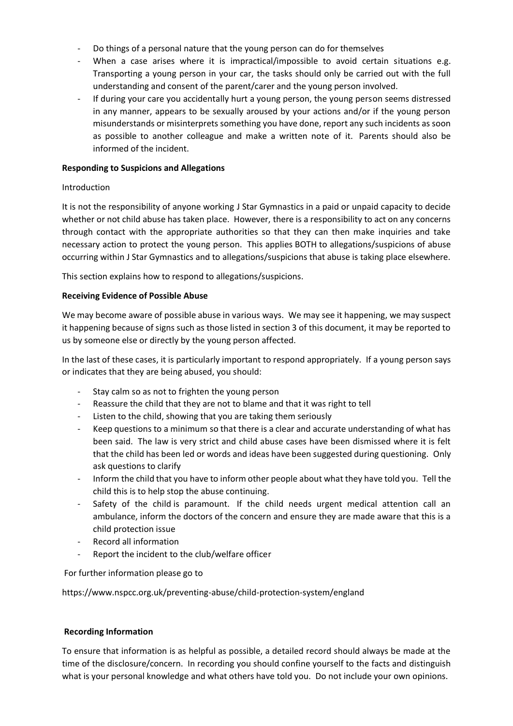- Do things of a personal nature that the young person can do for themselves
- When a case arises where it is impractical/impossible to avoid certain situations e.g. Transporting a young person in your car, the tasks should only be carried out with the full understanding and consent of the parent/carer and the young person involved.
- If during your care you accidentally hurt a young person, the young person seems distressed in any manner, appears to be sexually aroused by your actions and/or if the young person misunderstands or misinterprets something you have done, report any such incidents as soon as possible to another colleague and make a written note of it. Parents should also be informed of the incident.

#### **Responding to Suspicions and Allegations**

#### Introduction

It is not the responsibility of anyone working J Star Gymnastics in a paid or unpaid capacity to decide whether or not child abuse has taken place. However, there is a responsibility to act on any concerns through contact with the appropriate authorities so that they can then make inquiries and take necessary action to protect the young person. This applies BOTH to allegations/suspicions of abuse occurring within J Star Gymnastics and to allegations/suspicions that abuse is taking place elsewhere.

This section explains how to respond to allegations/suspicions.

#### **Receiving Evidence of Possible Abuse**

We may become aware of possible abuse in various ways. We may see it happening, we may suspect it happening because of signs such as those listed in section 3 of this document, it may be reported to us by someone else or directly by the young person affected.

In the last of these cases, it is particularly important to respond appropriately. If a young person says or indicates that they are being abused, you should:

- Stay calm so as not to frighten the young person
- Reassure the child that they are not to blame and that it was right to tell
- Listen to the child, showing that you are taking them seriously
- Keep questions to a minimum so that there is a clear and accurate understanding of what has been said. The law is very strict and child abuse cases have been dismissed where it is felt that the child has been led or words and ideas have been suggested during questioning. Only ask questions to clarify
- Inform the child that you have to inform other people about what they have told you. Tell the child this is to help stop the abuse continuing.
- Safety of the child is paramount. If the child needs urgent medical attention call an ambulance, inform the doctors of the concern and ensure they are made aware that this is a child protection issue
- Record all information
- Report the incident to the club/welfare officer

For further information please go to

https://www.nspcc.org.uk/preventing-abuse/child-protection-system/england

#### **Recording Information**

To ensure that information is as helpful as possible, a detailed record should always be made at the time of the disclosure/concern. In recording you should confine yourself to the facts and distinguish what is your personal knowledge and what others have told you. Do not include your own opinions.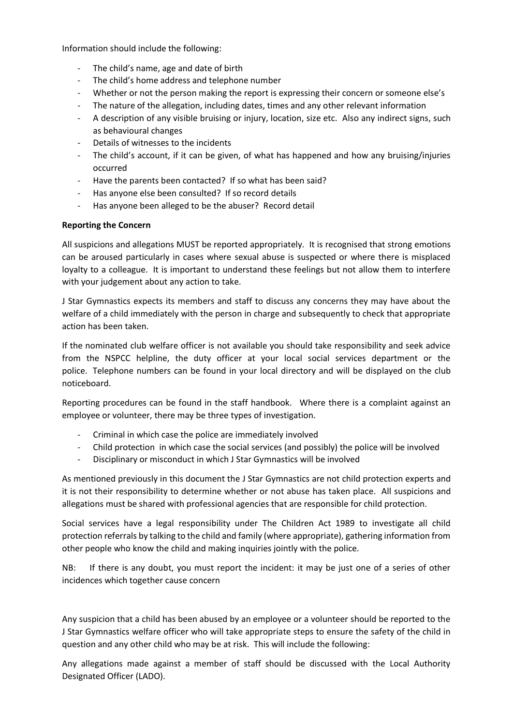Information should include the following:

- The child's name, age and date of birth
- The child's home address and telephone number
- Whether or not the person making the report is expressing their concern or someone else's
- The nature of the allegation, including dates, times and any other relevant information
- A description of any visible bruising or injury, location, size etc. Also any indirect signs, such as behavioural changes
- Details of witnesses to the incidents
- The child's account, if it can be given, of what has happened and how any bruising/injuries occurred
- Have the parents been contacted? If so what has been said?
- Has anyone else been consulted? If so record details
- Has anyone been alleged to be the abuser? Record detail

## **Reporting the Concern**

All suspicions and allegations MUST be reported appropriately. It is recognised that strong emotions can be aroused particularly in cases where sexual abuse is suspected or where there is misplaced loyalty to a colleague. It is important to understand these feelings but not allow them to interfere with your judgement about any action to take.

J Star Gymnastics expects its members and staff to discuss any concerns they may have about the welfare of a child immediately with the person in charge and subsequently to check that appropriate action has been taken.

If the nominated club welfare officer is not available you should take responsibility and seek advice from the NSPCC helpline, the duty officer at your local social services department or the police. Telephone numbers can be found in your local directory and will be displayed on the club noticeboard.

Reporting procedures can be found in the staff handbook. Where there is a complaint against an employee or volunteer, there may be three types of investigation.

- Criminal in which case the police are immediately involved
- Child protection in which case the social services (and possibly) the police will be involved
- Disciplinary or misconduct in which J Star Gymnastics will be involved

As mentioned previously in this document the J Star Gymnastics are not child protection experts and it is not their responsibility to determine whether or not abuse has taken place. All suspicions and allegations must be shared with professional agencies that are responsible for child protection.

Social services have a legal responsibility under The Children Act 1989 to investigate all child protection referrals by talking to the child and family (where appropriate), gathering information from other people who know the child and making inquiries jointly with the police.

NB: If there is any doubt, you must report the incident: it may be just one of a series of other incidences which together cause concern

Any suspicion that a child has been abused by an employee or a volunteer should be reported to the J Star Gymnastics welfare officer who will take appropriate steps to ensure the safety of the child in question and any other child who may be at risk. This will include the following:

Any allegations made against a member of staff should be discussed with the Local Authority Designated Officer (LADO).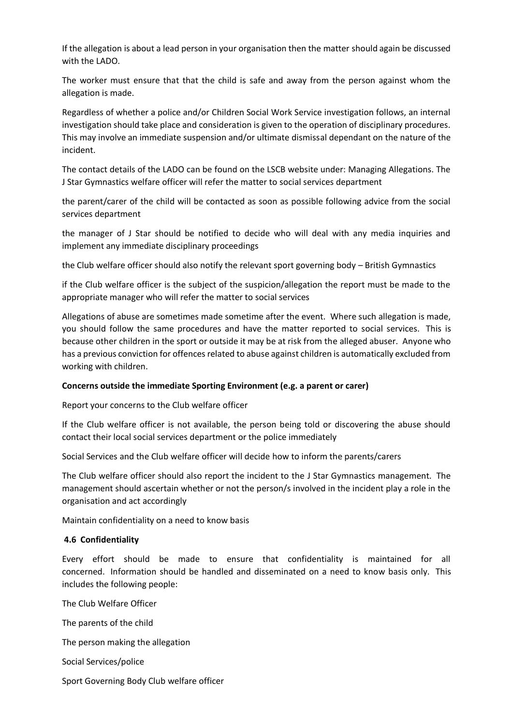If the allegation is about a lead person in your organisation then the matter should again be discussed with the LADO.

The worker must ensure that that the child is safe and away from the person against whom the allegation is made.

Regardless of whether a police and/or Children Social Work Service investigation follows, an internal investigation should take place and consideration is given to the operation of disciplinary procedures. This may involve an immediate suspension and/or ultimate dismissal dependant on the nature of the incident.

The contact details of the LADO can be found on the LSCB website under: Managing Allegations. The J Star Gymnastics welfare officer will refer the matter to social services department

the parent/carer of the child will be contacted as soon as possible following advice from the social services department

the manager of J Star should be notified to decide who will deal with any media inquiries and implement any immediate disciplinary proceedings

the Club welfare officer should also notify the relevant sport governing body – British Gymnastics

if the Club welfare officer is the subject of the suspicion/allegation the report must be made to the appropriate manager who will refer the matter to social services

Allegations of abuse are sometimes made sometime after the event. Where such allegation is made, you should follow the same procedures and have the matter reported to social services. This is because other children in the sport or outside it may be at risk from the alleged abuser. Anyone who has a previous conviction for offences related to abuse against children is automatically excluded from working with children.

#### **Concerns outside the immediate Sporting Environment (e.g. a parent or carer)**

Report your concerns to the Club welfare officer

If the Club welfare officer is not available, the person being told or discovering the abuse should contact their local social services department or the police immediately

Social Services and the Club welfare officer will decide how to inform the parents/carers

The Club welfare officer should also report the incident to the J Star Gymnastics management. The management should ascertain whether or not the person/s involved in the incident play a role in the organisation and act accordingly

Maintain confidentiality on a need to know basis

#### **4.6 Confidentiality**

Every effort should be made to ensure that confidentiality is maintained for all concerned. Information should be handled and disseminated on a need to know basis only. This includes the following people:

The Club Welfare Officer

The parents of the child

The person making the allegation

Social Services/police

Sport Governing Body Club welfare officer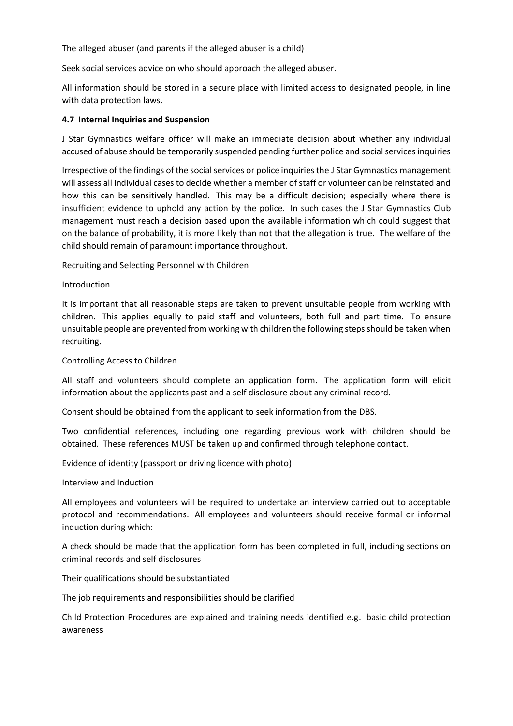The alleged abuser (and parents if the alleged abuser is a child)

Seek social services advice on who should approach the alleged abuser.

All information should be stored in a secure place with limited access to designated people, in line with data protection laws.

#### **4.7 Internal Inquiries and Suspension**

J Star Gymnastics welfare officer will make an immediate decision about whether any individual accused of abuse should be temporarily suspended pending further police and social services inquiries

Irrespective of the findings of the social services or police inquiries the J Star Gymnastics management will assess all individual cases to decide whether a member of staff or volunteer can be reinstated and how this can be sensitively handled. This may be a difficult decision; especially where there is insufficient evidence to uphold any action by the police. In such cases the J Star Gymnastics Club management must reach a decision based upon the available information which could suggest that on the balance of probability, it is more likely than not that the allegation is true. The welfare of the child should remain of paramount importance throughout.

Recruiting and Selecting Personnel with Children

## Introduction

It is important that all reasonable steps are taken to prevent unsuitable people from working with children. This applies equally to paid staff and volunteers, both full and part time. To ensure unsuitable people are prevented from working with children the following steps should be taken when recruiting.

#### Controlling Access to Children

All staff and volunteers should complete an application form. The application form will elicit information about the applicants past and a self disclosure about any criminal record.

Consent should be obtained from the applicant to seek information from the DBS.

Two confidential references, including one regarding previous work with children should be obtained. These references MUST be taken up and confirmed through telephone contact.

Evidence of identity (passport or driving licence with photo)

Interview and Induction

All employees and volunteers will be required to undertake an interview carried out to acceptable protocol and recommendations. All employees and volunteers should receive formal or informal induction during which:

A check should be made that the application form has been completed in full, including sections on criminal records and self disclosures

Their qualifications should be substantiated

The job requirements and responsibilities should be clarified

Child Protection Procedures are explained and training needs identified e.g. basic child protection awareness